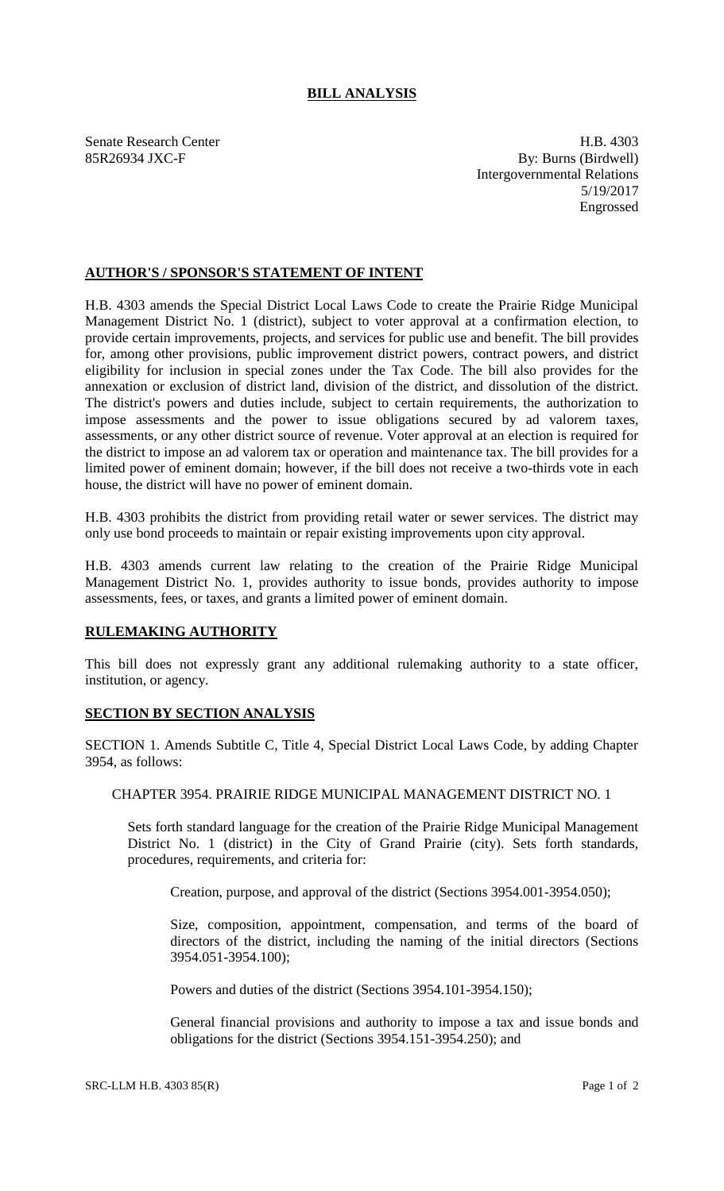## **BILL ANALYSIS**

Senate Research Center **H.B. 4303** 85R26934 JXC-F By: Burns (Birdwell) Intergovernmental Relations 5/19/2017 Engrossed

## **AUTHOR'S / SPONSOR'S STATEMENT OF INTENT**

H.B. 4303 amends the Special District Local Laws Code to create the Prairie Ridge Municipal Management District No. 1 (district), subject to voter approval at a confirmation election, to provide certain improvements, projects, and services for public use and benefit. The bill provides for, among other provisions, public improvement district powers, contract powers, and district eligibility for inclusion in special zones under the Tax Code. The bill also provides for the annexation or exclusion of district land, division of the district, and dissolution of the district. The district's powers and duties include, subject to certain requirements, the authorization to impose assessments and the power to issue obligations secured by ad valorem taxes, assessments, or any other district source of revenue. Voter approval at an election is required for the district to impose an ad valorem tax or operation and maintenance tax. The bill provides for a limited power of eminent domain; however, if the bill does not receive a two-thirds vote in each house, the district will have no power of eminent domain.

H.B. 4303 prohibits the district from providing retail water or sewer services. The district may only use bond proceeds to maintain or repair existing improvements upon city approval.

H.B. 4303 amends current law relating to the creation of the Prairie Ridge Municipal Management District No. 1, provides authority to issue bonds, provides authority to impose assessments, fees, or taxes, and grants a limited power of eminent domain.

## **RULEMAKING AUTHORITY**

This bill does not expressly grant any additional rulemaking authority to a state officer, institution, or agency.

## **SECTION BY SECTION ANALYSIS**

SECTION 1. Amends Subtitle C, Title 4, Special District Local Laws Code, by adding Chapter 3954, as follows:

CHAPTER 3954. PRAIRIE RIDGE MUNICIPAL MANAGEMENT DISTRICT NO. 1

Sets forth standard language for the creation of the Prairie Ridge Municipal Management District No. 1 (district) in the City of Grand Prairie (city). Sets forth standards, procedures, requirements, and criteria for:

Creation, purpose, and approval of the district (Sections 3954.001-3954.050);

Size, composition, appointment, compensation, and terms of the board of directors of the district, including the naming of the initial directors (Sections 3954.051-3954.100);

Powers and duties of the district (Sections 3954.101-3954.150);

General financial provisions and authority to impose a tax and issue bonds and obligations for the district (Sections 3954.151-3954.250); and